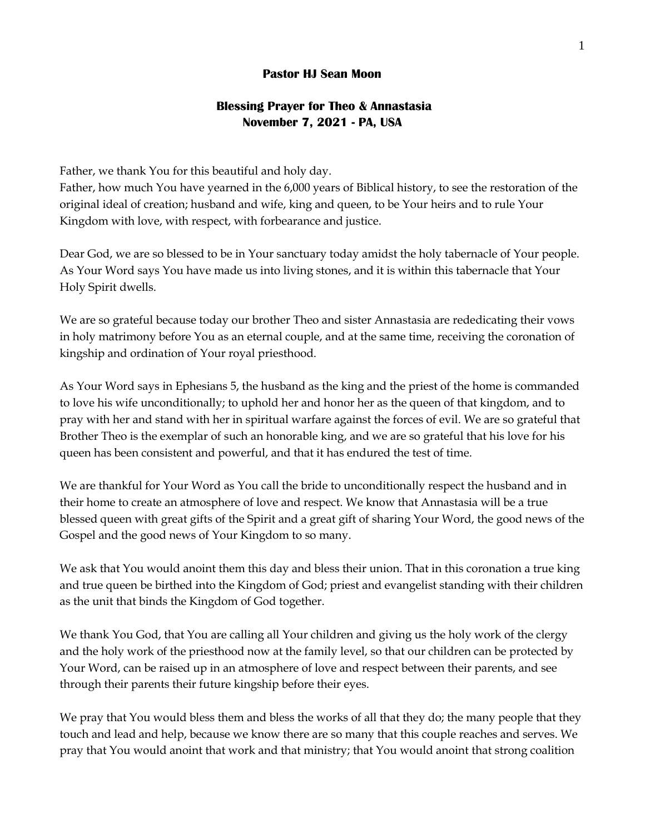## **Pastor HJ Sean Moon**

## **Blessing Prayer for Theo & Annastasia November 7, 2021 - PA, USA**

Father, we thank You for this beautiful and holy day.

Father, how much You have yearned in the 6,000 years of Biblical history, to see the restoration of the original ideal of creation; husband and wife, king and queen, to be Your heirs and to rule Your Kingdom with love, with respect, with forbearance and justice.

Dear God, we are so blessed to be in Your sanctuary today amidst the holy tabernacle of Your people. As Your Word says You have made us into living stones, and it is within this tabernacle that Your Holy Spirit dwells.

We are so grateful because today our brother Theo and sister Annastasia are rededicating their vows in holy matrimony before You as an eternal couple, and at the same time, receiving the coronation of kingship and ordination of Your royal priesthood.

As Your Word says in Ephesians 5, the husband as the king and the priest of the home is commanded to love his wife unconditionally; to uphold her and honor her as the queen of that kingdom, and to pray with her and stand with her in spiritual warfare against the forces of evil. We are so grateful that Brother Theo is the exemplar of such an honorable king, and we are so grateful that his love for his queen has been consistent and powerful, and that it has endured the test of time.

We are thankful for Your Word as You call the bride to unconditionally respect the husband and in their home to create an atmosphere of love and respect. We know that Annastasia will be a true blessed queen with great gifts of the Spirit and a great gift of sharing Your Word, the good news of the Gospel and the good news of Your Kingdom to so many.

We ask that You would anoint them this day and bless their union. That in this coronation a true king and true queen be birthed into the Kingdom of God; priest and evangelist standing with their children as the unit that binds the Kingdom of God together.

We thank You God, that You are calling all Your children and giving us the holy work of the clergy and the holy work of the priesthood now at the family level, so that our children can be protected by Your Word, can be raised up in an atmosphere of love and respect between their parents, and see through their parents their future kingship before their eyes.

We pray that You would bless them and bless the works of all that they do; the many people that they touch and lead and help, because we know there are so many that this couple reaches and serves. We pray that You would anoint that work and that ministry; that You would anoint that strong coalition